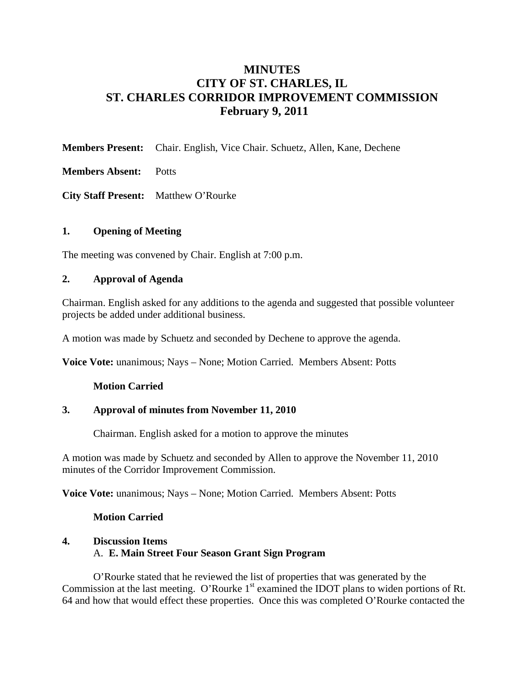# **MINUTES CITY OF ST. CHARLES, IL ST. CHARLES CORRIDOR IMPROVEMENT COMMISSION February 9, 2011**

**Members Present:** Chair. English, Vice Chair. Schuetz, Allen, Kane, Dechene

**Members Absent:** Potts

**City Staff Present:** Matthew O'Rourke

# **1. Opening of Meeting**

The meeting was convened by Chair. English at 7:00 p.m.

# **2. Approval of Agenda**

Chairman. English asked for any additions to the agenda and suggested that possible volunteer projects be added under additional business.

A motion was made by Schuetz and seconded by Dechene to approve the agenda.

**Voice Vote:** unanimous; Nays – None; Motion Carried. Members Absent: Potts

## **Motion Carried**

## **3. Approval of minutes from November 11, 2010**

Chairman. English asked for a motion to approve the minutes

A motion was made by Schuetz and seconded by Allen to approve the November 11, 2010 minutes of the Corridor Improvement Commission.

**Voice Vote:** unanimous; Nays – None; Motion Carried. Members Absent: Potts

## **Motion Carried**

# **4. Discussion Items**  A. **E. Main Street Four Season Grant Sign Program**

O'Rourke stated that he reviewed the list of properties that was generated by the Commission at the last meeting. O'Rourke 1<sup>st</sup> examined the IDOT plans to widen portions of Rt. 64 and how that would effect these properties. Once this was completed O'Rourke contacted the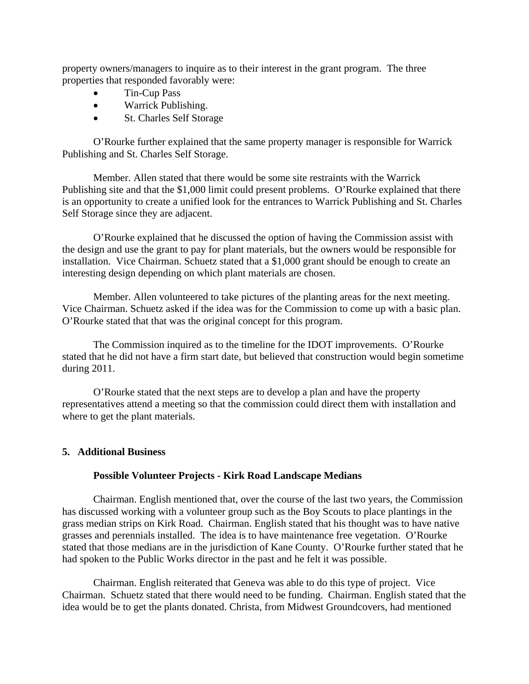property owners/managers to inquire as to their interest in the grant program. The three properties that responded favorably were:

- Tin-Cup Pass
- Warrick Publishing.
- St. Charles Self Storage

O'Rourke further explained that the same property manager is responsible for Warrick Publishing and St. Charles Self Storage.

Member. Allen stated that there would be some site restraints with the Warrick Publishing site and that the \$1,000 limit could present problems. O'Rourke explained that there is an opportunity to create a unified look for the entrances to Warrick Publishing and St. Charles Self Storage since they are adjacent.

O'Rourke explained that he discussed the option of having the Commission assist with the design and use the grant to pay for plant materials, but the owners would be responsible for installation. Vice Chairman. Schuetz stated that a \$1,000 grant should be enough to create an interesting design depending on which plant materials are chosen.

Member. Allen volunteered to take pictures of the planting areas for the next meeting. Vice Chairman. Schuetz asked if the idea was for the Commission to come up with a basic plan. O'Rourke stated that that was the original concept for this program.

The Commission inquired as to the timeline for the IDOT improvements. O'Rourke stated that he did not have a firm start date, but believed that construction would begin sometime during 2011.

O'Rourke stated that the next steps are to develop a plan and have the property representatives attend a meeting so that the commission could direct them with installation and where to get the plant materials.

#### **5. Additional Business**

#### **Possible Volunteer Projects - Kirk Road Landscape Medians**

Chairman. English mentioned that, over the course of the last two years, the Commission has discussed working with a volunteer group such as the Boy Scouts to place plantings in the grass median strips on Kirk Road. Chairman. English stated that his thought was to have native grasses and perennials installed. The idea is to have maintenance free vegetation. O'Rourke stated that those medians are in the jurisdiction of Kane County. O'Rourke further stated that he had spoken to the Public Works director in the past and he felt it was possible.

Chairman. English reiterated that Geneva was able to do this type of project. Vice Chairman. Schuetz stated that there would need to be funding. Chairman. English stated that the idea would be to get the plants donated. Christa, from Midwest Groundcovers, had mentioned